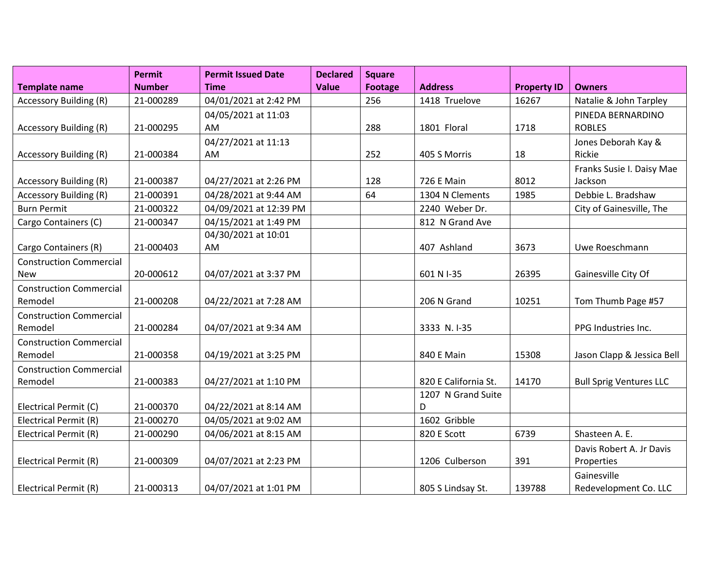|                                | <b>Permit</b> | <b>Permit Issued Date</b> | <b>Declared</b> | <b>Square</b>  |                      |                    |                                |
|--------------------------------|---------------|---------------------------|-----------------|----------------|----------------------|--------------------|--------------------------------|
| <b>Template name</b>           | <b>Number</b> | <b>Time</b>               | <b>Value</b>    | <b>Footage</b> | <b>Address</b>       | <b>Property ID</b> | <b>Owners</b>                  |
| <b>Accessory Building (R)</b>  | 21-000289     | 04/01/2021 at 2:42 PM     |                 | 256            | 1418 Truelove        | 16267              | Natalie & John Tarpley         |
|                                |               | 04/05/2021 at 11:03       |                 |                |                      |                    | PINEDA BERNARDINO              |
| Accessory Building (R)         | 21-000295     | AM                        |                 | 288            | 1801 Floral          | 1718               | <b>ROBLES</b>                  |
|                                |               | 04/27/2021 at 11:13       |                 |                |                      |                    | Jones Deborah Kay &            |
| <b>Accessory Building (R)</b>  | 21-000384     | AM                        |                 | 252            | 405 S Morris         | 18                 | Rickie                         |
|                                |               |                           |                 |                |                      |                    | Franks Susie I. Daisy Mae      |
| <b>Accessory Building (R)</b>  | 21-000387     | 04/27/2021 at 2:26 PM     |                 | 128            | <b>726 E Main</b>    | 8012               | Jackson                        |
| <b>Accessory Building (R)</b>  | 21-000391     | 04/28/2021 at 9:44 AM     |                 | 64             | 1304 N Clements      | 1985               | Debbie L. Bradshaw             |
| <b>Burn Permit</b>             | 21-000322     | 04/09/2021 at 12:39 PM    |                 |                | 2240 Weber Dr.       |                    | City of Gainesville, The       |
| Cargo Containers (C)           | 21-000347     | 04/15/2021 at 1:49 PM     |                 |                | 812 N Grand Ave      |                    |                                |
|                                |               | 04/30/2021 at 10:01       |                 |                |                      |                    |                                |
| Cargo Containers (R)           | 21-000403     | AM                        |                 |                | 407 Ashland          | 3673               | Uwe Roeschmann                 |
| <b>Construction Commercial</b> |               |                           |                 |                |                      |                    |                                |
| <b>New</b>                     | 20-000612     | 04/07/2021 at 3:37 PM     |                 |                | 601 N I-35           | 26395              | Gainesville City Of            |
| <b>Construction Commercial</b> |               |                           |                 |                |                      |                    |                                |
| Remodel                        | 21-000208     | 04/22/2021 at 7:28 AM     |                 |                | 206 N Grand          | 10251              | Tom Thumb Page #57             |
| <b>Construction Commercial</b> |               |                           |                 |                |                      |                    |                                |
| Remodel                        | 21-000284     | 04/07/2021 at 9:34 AM     |                 |                | 3333 N.I-35          |                    | PPG Industries Inc.            |
| <b>Construction Commercial</b> |               |                           |                 |                |                      |                    |                                |
| Remodel                        | 21-000358     | 04/19/2021 at 3:25 PM     |                 |                | <b>840 E Main</b>    | 15308              | Jason Clapp & Jessica Bell     |
| <b>Construction Commercial</b> |               |                           |                 |                |                      |                    |                                |
| Remodel                        | 21-000383     | 04/27/2021 at 1:10 PM     |                 |                | 820 E California St. | 14170              | <b>Bull Sprig Ventures LLC</b> |
|                                |               |                           |                 |                | 1207 N Grand Suite   |                    |                                |
| Electrical Permit (C)          | 21-000370     | 04/22/2021 at 8:14 AM     |                 |                | D                    |                    |                                |
| Electrical Permit (R)          | 21-000270     | 04/05/2021 at 9:02 AM     |                 |                | 1602 Gribble         |                    |                                |
| Electrical Permit (R)          | 21-000290     | 04/06/2021 at 8:15 AM     |                 |                | 820 E Scott          | 6739               | Shasteen A. E.                 |
|                                |               |                           |                 |                |                      |                    | Davis Robert A. Jr Davis       |
| Electrical Permit (R)          | 21-000309     | 04/07/2021 at 2:23 PM     |                 |                | 1206 Culberson       | 391                | Properties                     |
|                                |               |                           |                 |                |                      |                    | Gainesville                    |
| Electrical Permit (R)          | 21-000313     | 04/07/2021 at 1:01 PM     |                 |                | 805 S Lindsay St.    | 139788             | Redevelopment Co. LLC          |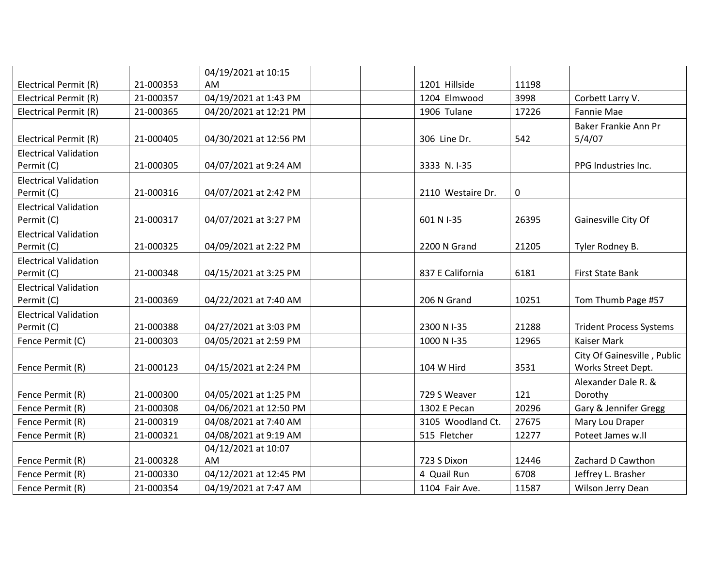|                                            |           | 04/19/2021 at 10:15       |                   |       |                                                   |
|--------------------------------------------|-----------|---------------------------|-------------------|-------|---------------------------------------------------|
| Electrical Permit (R)                      | 21-000353 | AM.                       | 1201 Hillside     | 11198 |                                                   |
| Electrical Permit (R)                      | 21-000357 | 04/19/2021 at 1:43 PM     | 1204 Elmwood      | 3998  | Corbett Larry V.                                  |
| Electrical Permit (R)                      | 21-000365 | 04/20/2021 at 12:21 PM    | 1906 Tulane       | 17226 | Fannie Mae                                        |
| Electrical Permit (R)                      | 21-000405 | 04/30/2021 at 12:56 PM    | 306 Line Dr.      | 542   | Baker Frankie Ann Pr<br>5/4/07                    |
| <b>Electrical Validation</b><br>Permit (C) | 21-000305 | 04/07/2021 at 9:24 AM     | 3333 N.I-35       |       | PPG Industries Inc.                               |
| <b>Electrical Validation</b><br>Permit (C) | 21-000316 | 04/07/2021 at 2:42 PM     | 2110 Westaire Dr. | 0     |                                                   |
| <b>Electrical Validation</b><br>Permit (C) | 21-000317 | 04/07/2021 at 3:27 PM     | 601 N I-35        | 26395 | Gainesville City Of                               |
| <b>Electrical Validation</b><br>Permit (C) | 21-000325 | 04/09/2021 at 2:22 PM     | 2200 N Grand      | 21205 | Tyler Rodney B.                                   |
| <b>Electrical Validation</b><br>Permit (C) | 21-000348 | 04/15/2021 at 3:25 PM     | 837 E California  | 6181  | First State Bank                                  |
| <b>Electrical Validation</b><br>Permit (C) | 21-000369 | 04/22/2021 at 7:40 AM     | 206 N Grand       | 10251 | Tom Thumb Page #57                                |
| <b>Electrical Validation</b><br>Permit (C) | 21-000388 | 04/27/2021 at 3:03 PM     | 2300 N I-35       | 21288 | <b>Trident Process Systems</b>                    |
| Fence Permit (C)                           | 21-000303 | 04/05/2021 at 2:59 PM     | 1000 N I-35       | 12965 | <b>Kaiser Mark</b>                                |
| Fence Permit (R)                           | 21-000123 | 04/15/2021 at 2:24 PM     | 104 W Hird        | 3531  | City Of Gainesville, Public<br>Works Street Dept. |
| Fence Permit (R)                           | 21-000300 | 04/05/2021 at 1:25 PM     | 729 S Weaver      | 121   | Alexander Dale R. &<br>Dorothy                    |
| Fence Permit (R)                           | 21-000308 | 04/06/2021 at 12:50 PM    | 1302 E Pecan      | 20296 | Gary & Jennifer Gregg                             |
| Fence Permit (R)                           | 21-000319 | 04/08/2021 at 7:40 AM     | 3105 Woodland Ct. | 27675 | Mary Lou Draper                                   |
| Fence Permit (R)                           | 21-000321 | 04/08/2021 at 9:19 AM     | 515 Fletcher      | 12277 | Poteet James w.ll                                 |
| Fence Permit (R)                           | 21-000328 | 04/12/2021 at 10:07<br>AM | 723 S Dixon       | 12446 | Zachard D Cawthon                                 |
| Fence Permit (R)                           | 21-000330 | 04/12/2021 at 12:45 PM    | 4 Quail Run       | 6708  | Jeffrey L. Brasher                                |
| Fence Permit (R)                           | 21-000354 | 04/19/2021 at 7:47 AM     | 1104 Fair Ave.    | 11587 | Wilson Jerry Dean                                 |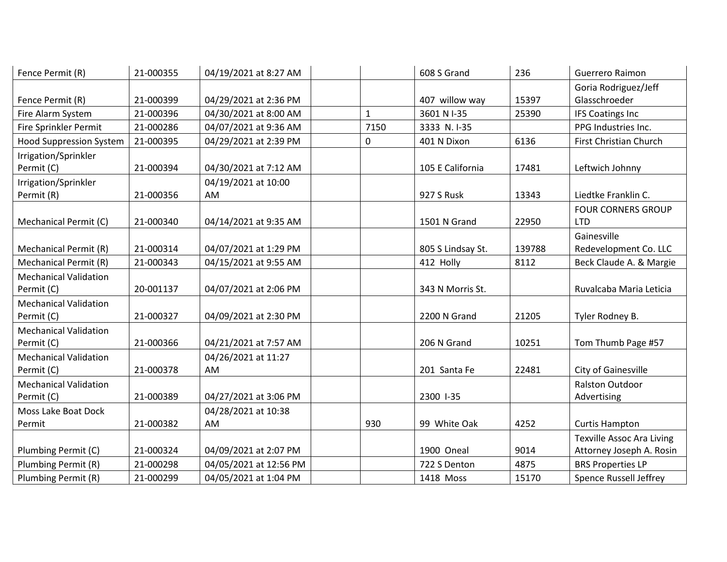| Fence Permit (R)               | 21-000355 | 04/19/2021 at 8:27 AM  |              | 608 S Grand       | 236    | Guerrero Raimon                  |
|--------------------------------|-----------|------------------------|--------------|-------------------|--------|----------------------------------|
|                                |           |                        |              |                   |        | Goria Rodriguez/Jeff             |
| Fence Permit (R)               | 21-000399 | 04/29/2021 at 2:36 PM  |              | 407 willow way    | 15397  | Glasschroeder                    |
| Fire Alarm System              | 21-000396 | 04/30/2021 at 8:00 AM  | $\mathbf{1}$ | 3601 N I-35       | 25390  | <b>IFS Coatings Inc</b>          |
| Fire Sprinkler Permit          | 21-000286 | 04/07/2021 at 9:36 AM  | 7150         | 3333 N.I-35       |        | PPG Industries Inc.              |
| <b>Hood Suppression System</b> | 21-000395 | 04/29/2021 at 2:39 PM  | 0            | 401 N Dixon       | 6136   | First Christian Church           |
| Irrigation/Sprinkler           |           |                        |              |                   |        |                                  |
| Permit (C)                     | 21-000394 | 04/30/2021 at 7:12 AM  |              | 105 E California  | 17481  | Leftwich Johnny                  |
| Irrigation/Sprinkler           |           | 04/19/2021 at 10:00    |              |                   |        |                                  |
| Permit (R)                     | 21-000356 | AM                     |              | 927 S Rusk        | 13343  | Liedtke Franklin C.              |
|                                |           |                        |              |                   |        | <b>FOUR CORNERS GROUP</b>        |
| Mechanical Permit (C)          | 21-000340 | 04/14/2021 at 9:35 AM  |              | 1501 N Grand      | 22950  | <b>LTD</b>                       |
|                                |           |                        |              |                   |        | Gainesville                      |
| <b>Mechanical Permit (R)</b>   | 21-000314 | 04/07/2021 at 1:29 PM  |              | 805 S Lindsay St. | 139788 | Redevelopment Co. LLC            |
| Mechanical Permit (R)          | 21-000343 | 04/15/2021 at 9:55 AM  |              | 412 Holly         | 8112   | Beck Claude A. & Margie          |
| <b>Mechanical Validation</b>   |           |                        |              |                   |        |                                  |
| Permit (C)                     | 20-001137 | 04/07/2021 at 2:06 PM  |              | 343 N Morris St.  |        | Ruvalcaba Maria Leticia          |
| <b>Mechanical Validation</b>   |           |                        |              |                   |        |                                  |
| Permit (C)                     | 21-000327 | 04/09/2021 at 2:30 PM  |              | 2200 N Grand      | 21205  | Tyler Rodney B.                  |
| <b>Mechanical Validation</b>   |           |                        |              |                   |        |                                  |
| Permit (C)                     | 21-000366 | 04/21/2021 at 7:57 AM  |              | 206 N Grand       | 10251  | Tom Thumb Page #57               |
| <b>Mechanical Validation</b>   |           | 04/26/2021 at 11:27    |              |                   |        |                                  |
| Permit (C)                     | 21-000378 | AM                     |              | 201 Santa Fe      | 22481  | City of Gainesville              |
| <b>Mechanical Validation</b>   |           |                        |              |                   |        | <b>Ralston Outdoor</b>           |
| Permit (C)                     | 21-000389 | 04/27/2021 at 3:06 PM  |              | 2300 1-35         |        | Advertising                      |
| Moss Lake Boat Dock            |           | 04/28/2021 at 10:38    |              |                   |        |                                  |
| Permit                         | 21-000382 | AM                     | 930          | 99 White Oak      | 4252   | <b>Curtis Hampton</b>            |
|                                |           |                        |              |                   |        | <b>Texville Assoc Ara Living</b> |
| Plumbing Permit (C)            | 21-000324 | 04/09/2021 at 2:07 PM  |              | 1900 Oneal        | 9014   | Attorney Joseph A. Rosin         |
| Plumbing Permit (R)            | 21-000298 | 04/05/2021 at 12:56 PM |              | 722 S Denton      | 4875   | <b>BRS Properties LP</b>         |
| Plumbing Permit (R)            | 21-000299 | 04/05/2021 at 1:04 PM  |              | 1418 Moss         | 15170  | <b>Spence Russell Jeffrey</b>    |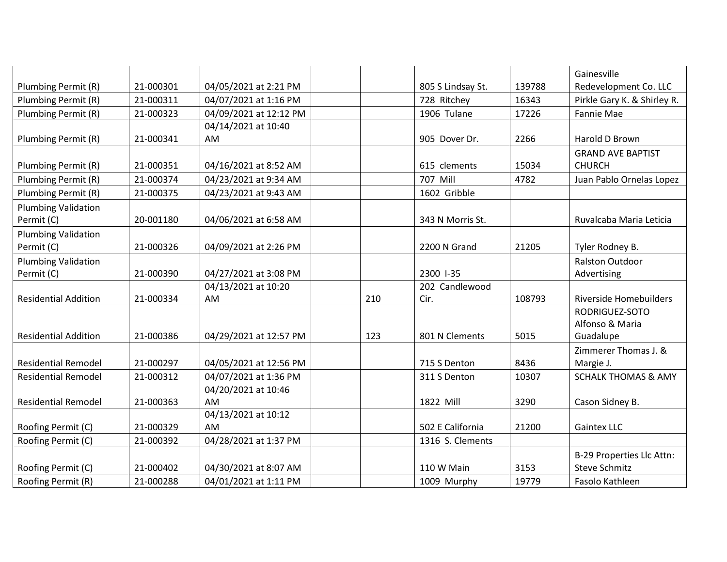|                             |           |                           |     |                   |        | Gainesville                    |
|-----------------------------|-----------|---------------------------|-----|-------------------|--------|--------------------------------|
| Plumbing Permit (R)         | 21-000301 | 04/05/2021 at 2:21 PM     |     | 805 S Lindsay St. | 139788 | Redevelopment Co. LLC          |
| Plumbing Permit (R)         | 21-000311 | 04/07/2021 at 1:16 PM     |     | 728 Ritchey       | 16343  | Pirkle Gary K. & Shirley R.    |
| Plumbing Permit (R)         | 21-000323 | 04/09/2021 at 12:12 PM    |     | 1906 Tulane       | 17226  | Fannie Mae                     |
|                             |           | 04/14/2021 at 10:40       |     |                   |        |                                |
| Plumbing Permit (R)         | 21-000341 | AM                        |     | 905 Dover Dr.     | 2266   | Harold D Brown                 |
|                             |           |                           |     |                   |        | <b>GRAND AVE BAPTIST</b>       |
| Plumbing Permit (R)         | 21-000351 | 04/16/2021 at 8:52 AM     |     | 615 clements      | 15034  | <b>CHURCH</b>                  |
| Plumbing Permit (R)         | 21-000374 | 04/23/2021 at 9:34 AM     |     | 707 Mill          | 4782   | Juan Pablo Ornelas Lopez       |
| Plumbing Permit (R)         | 21-000375 | 04/23/2021 at 9:43 AM     |     | 1602 Gribble      |        |                                |
| <b>Plumbing Validation</b>  |           |                           |     |                   |        |                                |
| Permit (C)                  | 20-001180 | 04/06/2021 at 6:58 AM     |     | 343 N Morris St.  |        | Ruvalcaba Maria Leticia        |
| <b>Plumbing Validation</b>  |           |                           |     |                   |        |                                |
| Permit (C)                  | 21-000326 | 04/09/2021 at 2:26 PM     |     | 2200 N Grand      | 21205  | Tyler Rodney B.                |
| <b>Plumbing Validation</b>  |           |                           |     |                   |        | <b>Ralston Outdoor</b>         |
| Permit (C)                  | 21-000390 | 04/27/2021 at 3:08 PM     |     | 2300 1-35         |        | Advertising                    |
|                             |           | 04/13/2021 at 10:20       |     | 202 Candlewood    |        |                                |
| <b>Residential Addition</b> | 21-000334 | <b>AM</b>                 | 210 | Cir.              | 108793 | <b>Riverside Homebuilders</b>  |
|                             |           |                           |     |                   |        | RODRIGUEZ-SOTO                 |
|                             |           |                           |     |                   |        | Alfonso & Maria                |
| <b>Residential Addition</b> | 21-000386 | 04/29/2021 at 12:57 PM    | 123 | 801 N Clements    | 5015   | Guadalupe                      |
|                             |           |                           |     |                   |        | Zimmerer Thomas J. &           |
| <b>Residential Remodel</b>  | 21-000297 | 04/05/2021 at 12:56 PM    |     | 715 S Denton      | 8436   | Margie J.                      |
| <b>Residential Remodel</b>  | 21-000312 | 04/07/2021 at 1:36 PM     |     | 311 S Denton      | 10307  | <b>SCHALK THOMAS &amp; AMY</b> |
|                             |           | 04/20/2021 at 10:46       |     |                   |        |                                |
| <b>Residential Remodel</b>  | 21-000363 | AM                        |     | 1822 Mill         | 3290   | Cason Sidney B.                |
|                             | 21-000329 | 04/13/2021 at 10:12<br>AM |     | 502 E California  | 21200  | <b>Gaintex LLC</b>             |
| Roofing Permit (C)          |           |                           |     |                   |        |                                |
| Roofing Permit (C)          | 21-000392 | 04/28/2021 at 1:37 PM     |     | 1316 S. Clements  |        |                                |
|                             |           |                           |     |                   |        | B-29 Properties Llc Attn:      |
| Roofing Permit (C)          | 21-000402 | 04/30/2021 at 8:07 AM     |     | 110 W Main        | 3153   | Steve Schmitz                  |
| Roofing Permit (R)          | 21-000288 | 04/01/2021 at 1:11 PM     |     | 1009 Murphy       | 19779  | Fasolo Kathleen                |